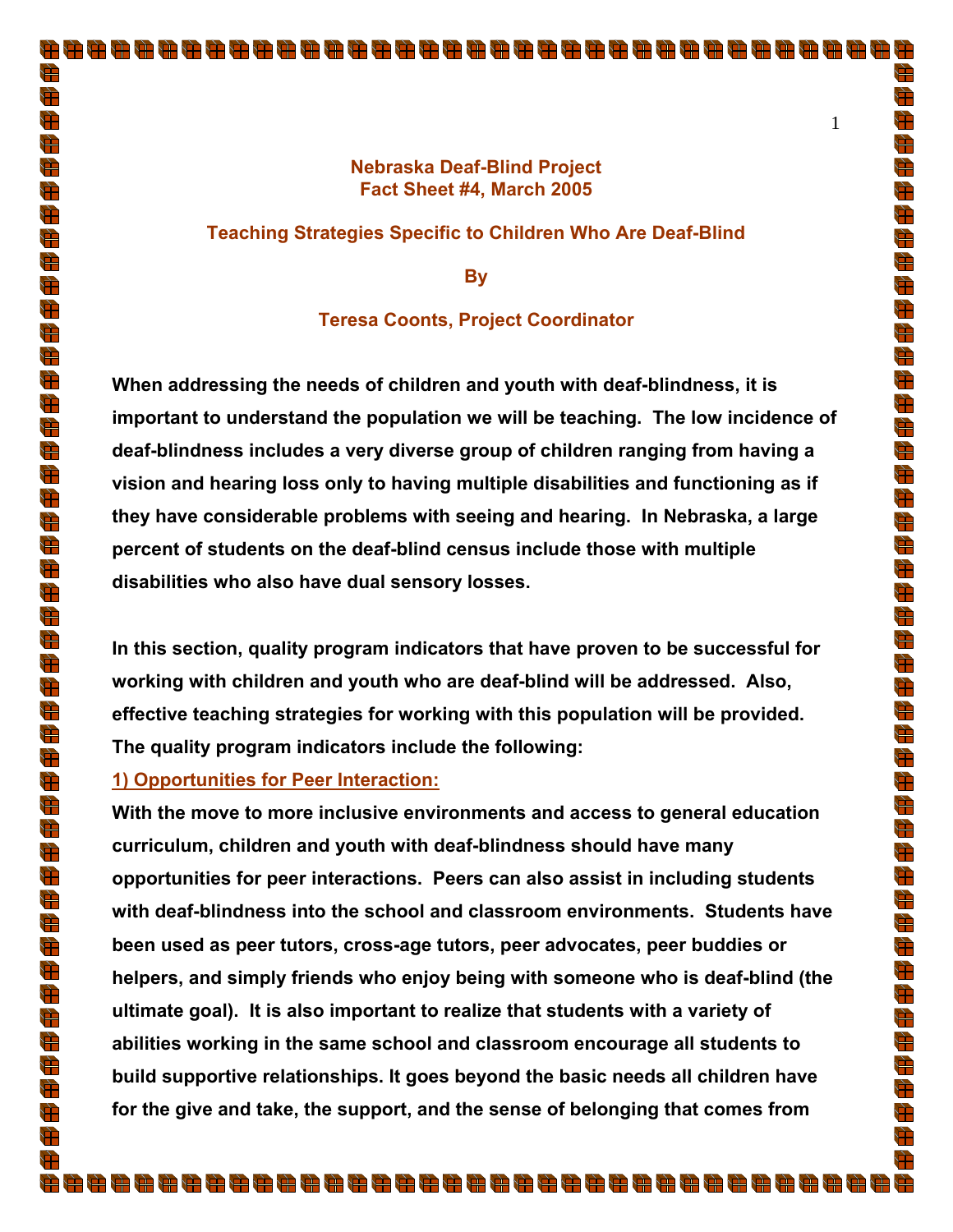## **Nebraska Deaf-Blind Project Fact Sheet #4, March 2005**

#### **Teaching Strategies Specific to Children Who Are Deaf-Blind**

**By** 

## **Teresa Coonts, Project Coordinator**

**When addressing the needs of children and youth with deaf-blindness, it is important to understand the population we will be teaching. The low incidence of deaf-blindness includes a very diverse group of children ranging from having a vision and hearing loss only to having multiple disabilities and functioning as if they have considerable problems with seeing and hearing. In Nebraska, a large percent of students on the deaf-blind census include those with multiple disabilities who also have dual sensory losses.** 

**In this section, quality program indicators that have proven to be successful for working with children and youth who are deaf-blind will be addressed. Also, effective teaching strategies for working with this population will be provided. The quality program indicators include the following:** 

#### **1) Opportunities for Peer Interaction:**

**With the move to more inclusive environments and access to general education curriculum, children and youth with deaf-blindness should have many opportunities for peer interactions. Peers can also assist in including students with deaf-blindness into the school and classroom environments. Students have been used as peer tutors, cross-age tutors, peer advocates, peer buddies or helpers, and simply friends who enjoy being with someone who is deaf-blind (the ultimate goal). It is also important to realize that students with a variety of abilities working in the same school and classroom encourage all students to build supportive relationships. It goes beyond the basic needs all children have for the give and take, the support, and the sense of belonging that comes from** 

È

 $\bigoplus$ 

 $\Rightarrow$ 

 $\frac{1}{\sqrt{2}}$ 

Ħ

Ì

H)

Ħ

d.<br>H

 $\sum_{i=1}^{n}$ 

 $\frac{1}{\sqrt{2}}$ 

 $\sum_{i=1}^{n}$ 

 $\Rightarrow$ 

 $\bigoplus$ 

 $\sum_{i=1}^{n}$ 

 $\frac{d\mathbf{r}}{d\mathbf{r}}$  $\bigoplus$ 

 $\frac{d\mathbf{F}}{d\mathbf{F}}$ 

 $\bigoplus$ 

 $\bigoplus$ 

 $\bigoplus$ 

 $\Rightarrow$ 

 $\bigoplus$ 

 $\bigoplus$ 

 $\frac{d\mathbf{r}}{d\mathbf{r}}$ 

 $\bigoplus$ 

 $\sum_{i=1}^{n}$ 

 $\sum_{i=1}^{n}$ 

 $\frac{1}{\sqrt{2}}$ 

 $\bigoplus$ 

 $\sum_{i=1}^{n}$  $\frac{1}{\sqrt{2}}$ 

 $\frac{1}{\sqrt{2}}$ 

 $\frac{1}{\sqrt{2}}$ 

 $\frac{1}{\sqrt{2}}$ 

 $\frac{1}{\sqrt{2}}$ 

 $\bigoplus$ 

 $\frac{1}{\sqrt{2}}$ 

 $\overline{\mathbb{P}}$ 

 $\frac{1}{\sqrt{2}}$ 

 $\frac{1}{\sqrt{2}}$ 

 $\frac{1}{\sqrt{2}}$ 

 $\Rightarrow$  $\bigoplus$ 

H)

毋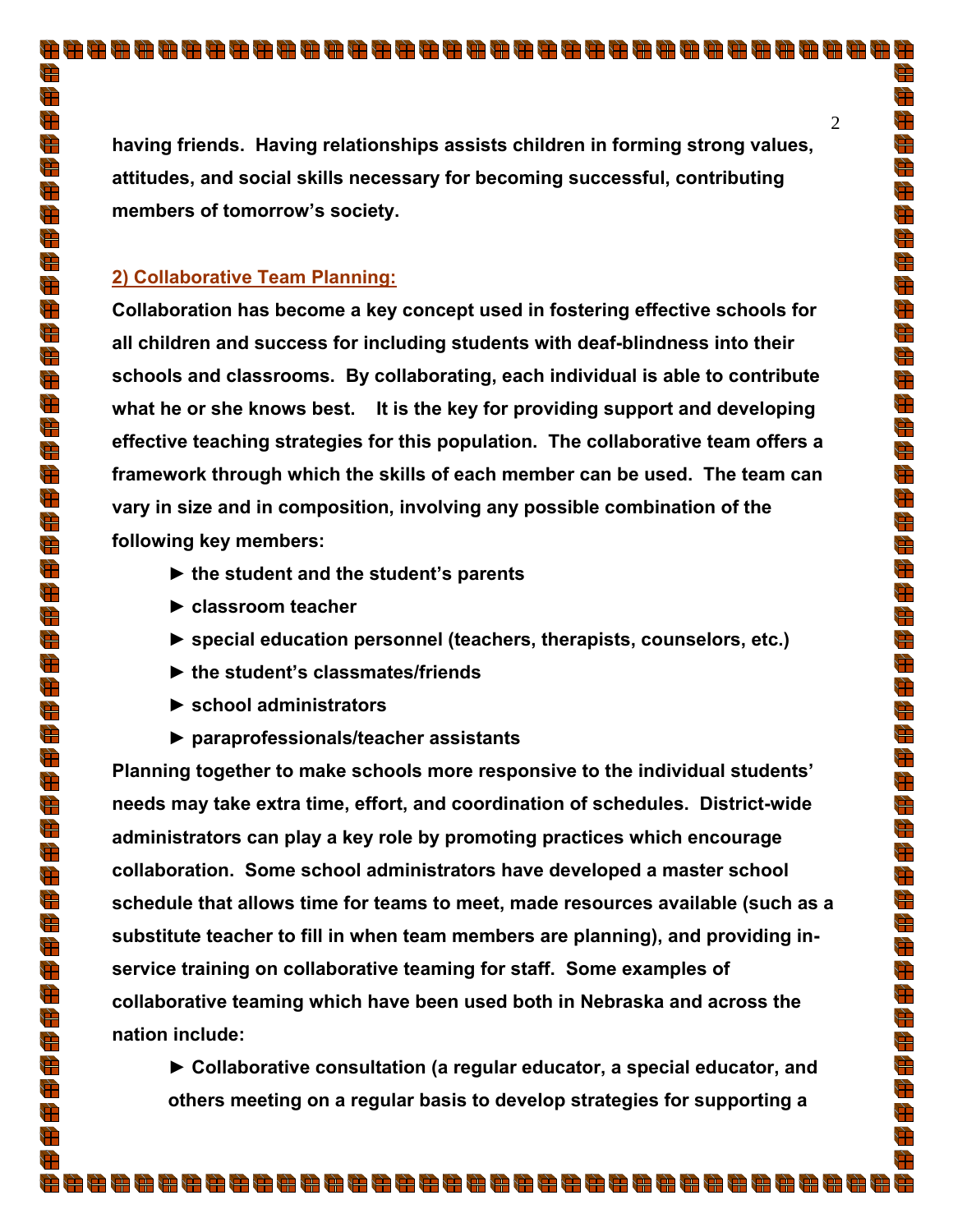**having friends. Having relationships assists children in forming strong values, attitudes, and social skills necessary for becoming successful, contributing members of tomorrow's society.** 

## **2) Collaborative Team Planning:**

**Collaboration has become a key concept used in fostering effective schools for all children and success for including students with deaf-blindness into their schools and classrooms. By collaborating, each individual is able to contribute what he or she knows best. It is the key for providing support and developing effective teaching strategies for this population. The collaborative team offers a framework through which the skills of each member can be used. The team can vary in size and in composition, involving any possible combination of the following key members:** 

- **► the student and the student's parents**
- **► classroom teacher**
- **► special education personnel (teachers, therapists, counselors, etc.)**
- **► the student's classmates/friends**
- **► school administrators**
- **► paraprofessionals/teacher assistants**

**Planning together to make schools more responsive to the individual students' needs may take extra time, effort, and coordination of schedules. District-wide administrators can play a key role by promoting practices which encourage collaboration. Some school administrators have developed a master school schedule that allows time for teams to meet, made resources available (such as a substitute teacher to fill in when team members are planning), and providing inservice training on collaborative teaming for staff. Some examples of collaborative teaming which have been used both in Nebraska and across the nation include:** 

**► Collaborative consultation (a regular educator, a special educator, and others meeting on a regular basis to develop strategies for supporting a** 

۲Ŧ

 $\sum_{i=1}^{n}$ 

d.<br>H

 $\bigoplus$ 

g<br>H

Ì

 $\bigoplus$ 

 $\frac{1}{\sqrt{2}}$ 

 $\bigoplus$ 

 $\frac{1}{\sqrt{2}}$ 

 $\frac{1}{\sqrt{2}}$ 

 $\Rightarrow$ 

 $\frac{1}{\sqrt{2}}$ 

 $\bigoplus$ 

 $\sum_{i=1}^{n}$ 

 $\bigoplus$ 

 $\overline{p}$ 

 $\frac{d}{dt}$  $\frac{1}{\sqrt{2}}$ 

 $\frac{1}{\sqrt{2}}$  $\frac{d\mathbf{r}}{d\mathbf{r}}$ 

 $\bigoplus$ 

 $\frac{1}{\sqrt{2}}$ 

 $\sum_{i=1}^{n}$ 

 $\frac{d\mathbf{r}}{d\mathbf{r}}$ 

 $\overrightarrow{+}$ 

 $\frac{1}{\sqrt{2}}$  $\frac{1}{\sqrt{2}}$ 

 $\frac{4}{\sqrt{2}}$ 

 $\bigoplus$ 

 $\sum_{i=1}^{n}$ 

#

 $\overline{p}$ 

 $\bigoplus$ 

 $\frac{1}{\sqrt{2}}$ 

 $\frac{1}{\sqrt{2}}$ 

 $\frac{4}{\sqrt{2}}$ 

 $\Rightarrow$ 

 $\frac{1}{\sqrt{2}}$ 

 $\overline{\mathbb{R}}$ 

 $\frac{1}{\sqrt{2}}$  $\bigoplus$ 

 $\bigoplus$ 

 $\sum_{i=1}^{n}$  $\bigoplus$ 

Ħ

Ħ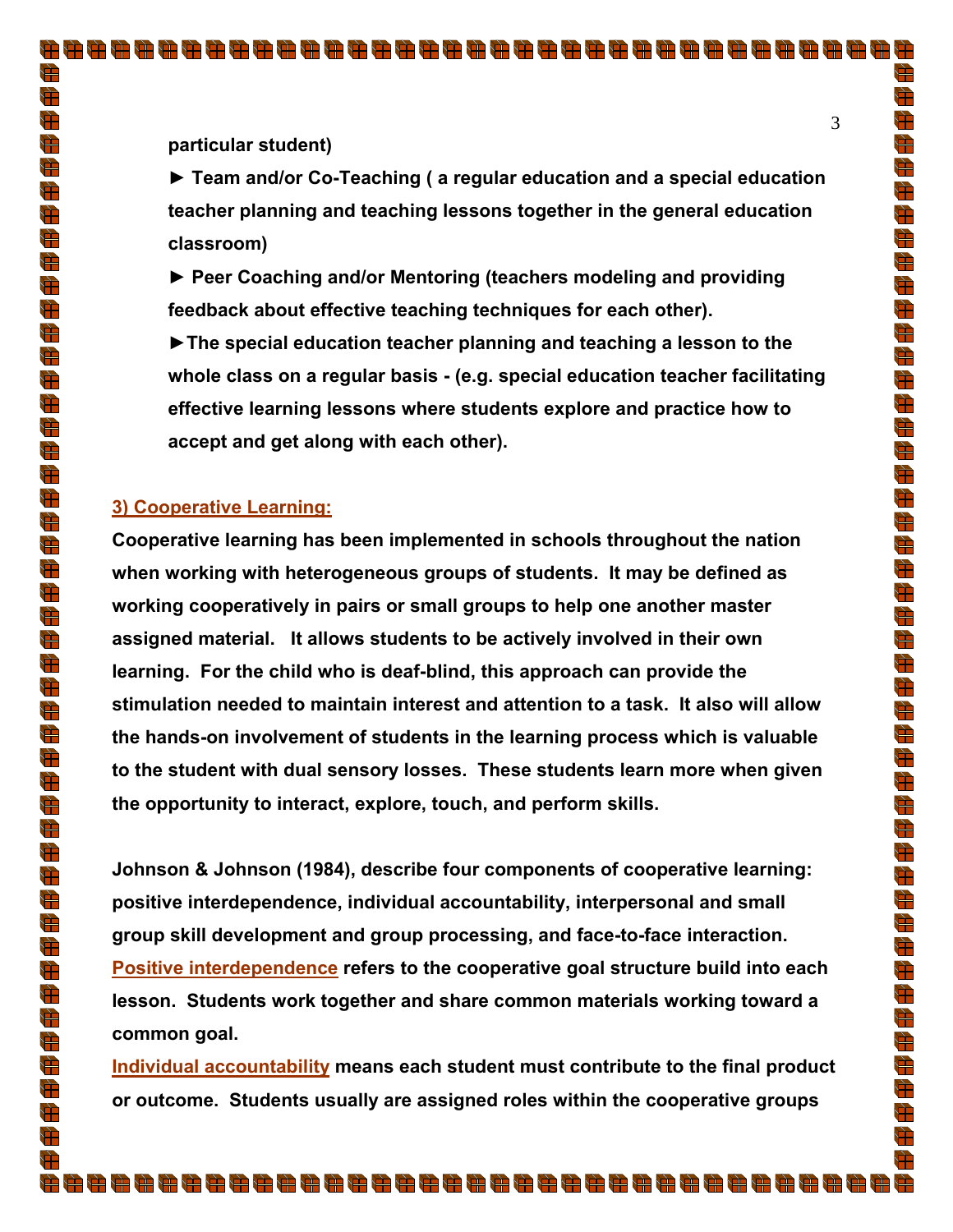È

 $\bigoplus$  $\bigoplus$ 

 $\frac{4}{\sqrt{2}}$ 

 $\bigoplus$ 

 $\bigoplus$  $\frac{1}{\sqrt{2}}$ 

g<br>Al

 $\bigoplus$  $\frac{1}{\sqrt{2}}$ 

 $\frac{1}{\sqrt{2}}$ 

 $\frac{4}{\sqrt{2}}$ 

 $\overrightarrow{ }$  $\bigoplus$ 

 $\sum_{i=1}^{n}$ 

 $\bigoplus$ 

 $\bigoplus$ 

 $\frac{d}{dt}$ 

 $\frac{1}{\sqrt{2}}$ 

 $\frac{1}{\sqrt{2}}$ 

 $\frac{1}{\sqrt{2}}$ 

 $\bigoplus$ 

 $\frac{1}{\sqrt{2}}$ 

 $\sum_{i=1}^{n}$ 

 $\bigoplus$ 

 $\bigoplus$ 

 $\frac{1}{\sqrt{2}}$ 

 $\frac{1}{\sqrt{2}}$  $\frac{4}{\sqrt{2}}$ 

 $\bigoplus$ 

 $\bigoplus$ 

 $\bigoplus$ 

 $\frac{4}{\sqrt{2}}$ 

 $\frac{1}{\sqrt{2}}$ 

 $\frac{1}{\sqrt{2}}$ 

 $\frac{1}{\sqrt{2}}$ 

 $\bigoplus$ 

 $\overrightarrow{ }$ 

 $\frac{1}{\sqrt{2}}$ 

d.<br>He

 $\frac{1}{\sqrt{2}}$ 

 $\frac{1}{\sqrt{2}}$ 

 $\bigoplus$  $\frac{1}{2}$ 

 $\bigoplus$ 

 $\bigoplus$ 

Ħ

**particular student)** 

**► Team and/or Co-Teaching ( a regular education and a special education teacher planning and teaching lessons together in the general education classroom)** 

**► Peer Coaching and/or Mentoring (teachers modeling and providing feedback about effective teaching techniques for each other).** 

 **►The special education teacher planning and teaching a lesson to the whole class on a regular basis - (e.g. special education teacher facilitating effective learning lessons where students explore and practice how to accept and get along with each other).** 

## **3) Cooperative Learning:**

**Cooperative learning has been implemented in schools throughout the nation when working with heterogeneous groups of students. It may be defined as working cooperatively in pairs or small groups to help one another master assigned material. It allows students to be actively involved in their own learning. For the child who is deaf-blind, this approach can provide the stimulation needed to maintain interest and attention to a task. It also will allow the hands-on involvement of students in the learning process which is valuable to the student with dual sensory losses. These students learn more when given the opportunity to interact, explore, touch, and perform skills.** 

**Johnson & Johnson (1984), describe four components of cooperative learning: positive interdependence, individual accountability, interpersonal and small group skill development and group processing, and face-to-face interaction. Positive interdependence refers to the cooperative goal structure build into each lesson. Students work together and share common materials working toward a common goal.** 

**Individual accountability means each student must contribute to the final product or outcome. Students usually are assigned roles within the cooperative groups**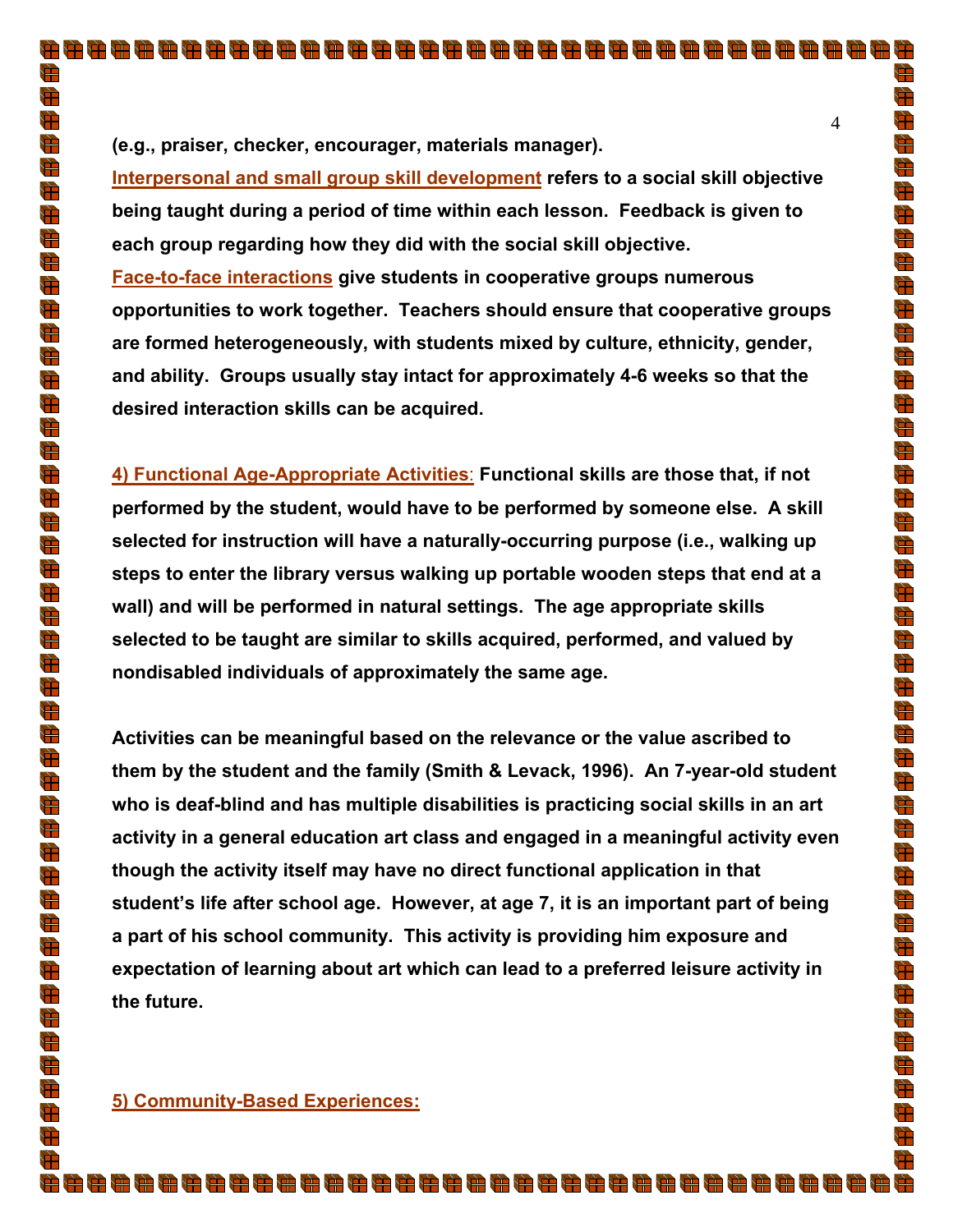**(e.g., praiser, checker, encourager, materials manager).** 

**Interpersonal and small group skill development refers to a social skill objective being taught during a period of time within each lesson. Feedback is given to each group regarding how they did with the social skill objective. Face-to-face interactions give students in cooperative groups numerous opportunities to work together. Teachers should ensure that cooperative groups are formed heterogeneously, with students mixed by culture, ethnicity, gender, and ability. Groups usually stay intact for approximately 4-6 weeks so that the desired interaction skills can be acquired.** 

**4) Functional Age-Appropriate Activities**: **Functional skills are those that, if not performed by the student, would have to be performed by someone else. A skill selected for instruction will have a naturally-occurring purpose (i.e., walking up steps to enter the library versus walking up portable wooden steps that end at a wall) and will be performed in natural settings. The age appropriate skills selected to be taught are similar to skills acquired, performed, and valued by nondisabled individuals of approximately the same age.** 

**Activities can be meaningful based on the relevance or the value ascribed to them by the student and the family (Smith & Levack, 1996). An 7-year-old student who is deaf-blind and has multiple disabilities is practicing social skills in an art activity in a general education art class and engaged in a meaningful activity even though the activity itself may have no direct functional application in that student's life after school age. However, at age 7, it is an important part of being a part of his school community. This activity is providing him exposure and expectation of learning about art which can lead to a preferred leisure activity in the future.** 

8888888888888888888888888888888888888

È

 $\sum_{i=1}^{n}$ 

d.<br>H

 $\frac{4}{\sqrt{2}}$ 

 $\bigoplus$ 

Ì

 $\bigoplus$ 

g<br>Al

 $\bigoplus$  $\frac{1}{\sqrt{2}}$ 

 $\frac{1}{\sqrt{2}}$ 

 $\bigoplus$ 

 $\overline{\mathbb{H}}$ 

 $\frac{4}{\sqrt{2}}$ 

 $\sum_{i=1}^{n}$  $\bigoplus$ 

 $\bigoplus$ 

 $\frac{d\mathbf{r}}{d\mathbf{r}}$  $\frac{1}{\sqrt{2}}$ 

d<br>H

 $\frac{1}{\sqrt{2}}$ 

 $\bigoplus$ 

 $\frac{1}{\sqrt{2}}$ 

 $\sum_{i=1}^{n}$ 

 $\frac{d\mathbf{r}}{d\mathbf{r}}$ 

 $\bigoplus$ 

 $\frac{1}{\sqrt{2}}$  $\frac{1}{\sqrt{2}}$ 

 $\frac{4}{\sqrt{2}}$ 

 $\bigoplus$ 

 $\sum_{i=1}^{n}$ 

 $\bigoplus$ 

 $\frac{d\mathbf{r}}{d\mathbf{r}}$  $\bar{\mathbf{P}}$ 

 $\frac{1}{\sqrt{2}}$ 

 $\bigoplus$  $\frac{d\mathbf{F}}{d\mathbf{F}}$ 

 $\Rightarrow$ 

 $\frac{1}{\sqrt{2}}$ 

d.<br>He

 $\frac{1}{\sqrt{2}}$  $\frac{1}{\sqrt{2}}$ 

 $\Rightarrow$  $\sum_{i=1}^{n}$ 

 $\bigoplus$ 

 $\Rightarrow$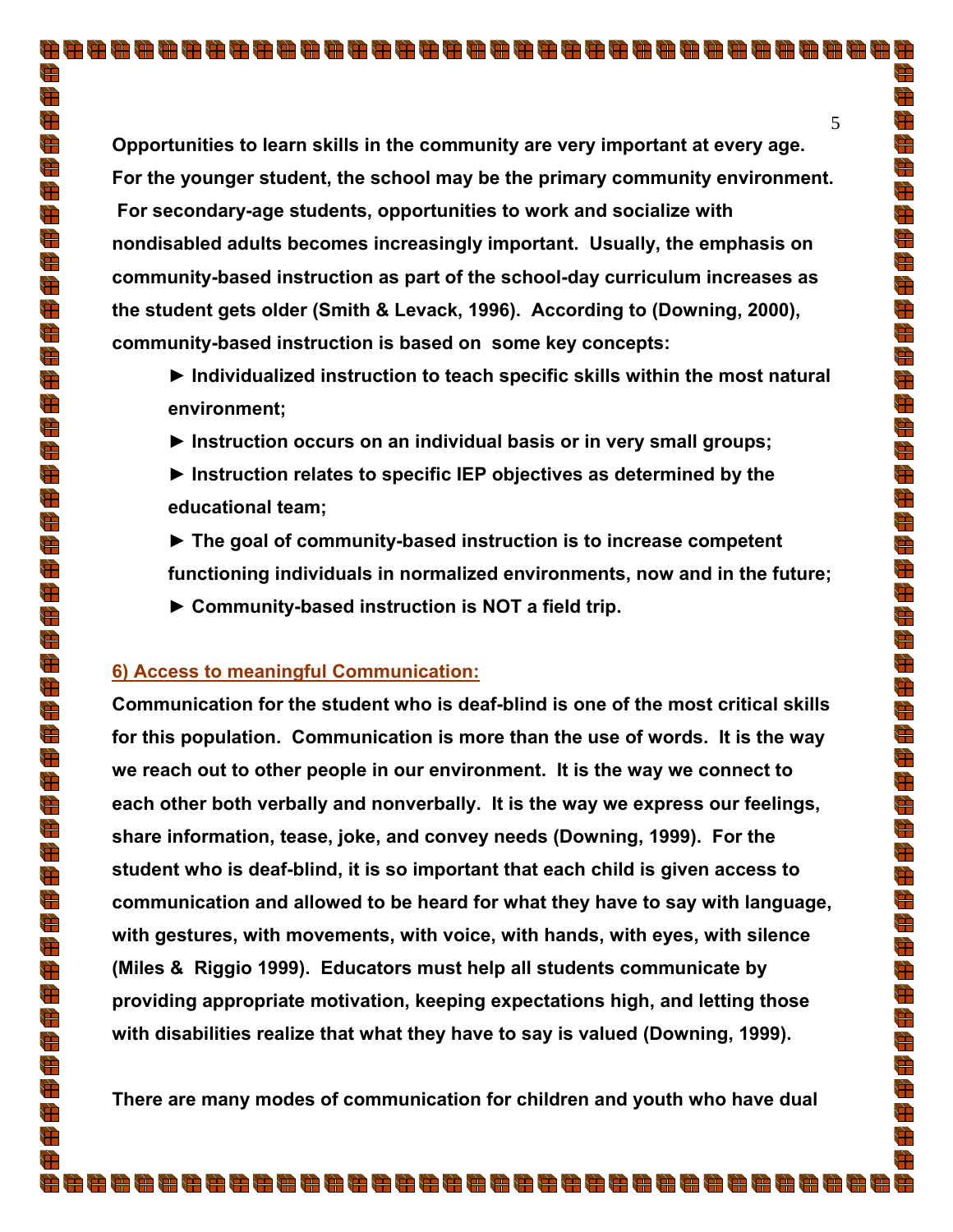**Opportunities to learn skills in the community are very important at every age. For the younger student, the school may be the primary community environment. For secondary-age students, opportunities to work and socialize with nondisabled adults becomes increasingly important. Usually, the emphasis on community-based instruction as part of the school-day curriculum increases as the student gets older (Smith & Levack, 1996). According to (Downing, 2000), community-based instruction is based on some key concepts:** 

- **► Individualized instruction to teach specific skills within the most natural environment;**
- **► Instruction occurs on an individual basis or in very small groups;**
- **► Instruction relates to specific IEP objectives as determined by the educational team;**
- **► The goal of community-based instruction is to increase competent functioning individuals in normalized environments, now and in the future;**
- **► Community-based instruction is NOT a field trip.**

## **6) Access to meaningful Communication:**

**Communication for the student who is deaf-blind is one of the most critical skills for this population. Communication is more than the use of words. It is the way we reach out to other people in our environment. It is the way we connect to each other both verbally and nonverbally. It is the way we express our feelings, share information, tease, joke, and convey needs (Downing, 1999). For the student who is deaf-blind, it is so important that each child is given access to communication and allowed to be heard for what they have to say with language, with gestures, with movements, with voice, with hands, with eyes, with silence (Miles & Riggio 1999). Educators must help all students communicate by providing appropriate motivation, keeping expectations high, and letting those with disabilities realize that what they have to say is valued (Downing, 1999).** 

**There are many modes of communication for children and youth who have dual** 

8888888888888888888888888888888888888

È

 $\bigoplus$ 

d.<br>H

 $\frac{4}{\sqrt{2}}$ 

 $\bigoplus$ 

 $\bigoplus$ 

 $\frac{1}{\sqrt{2}}$ 

 $\bigoplus$ 

 $\bigoplus$  $\frac{1}{\sqrt{2}}$ 

 $\frac{1}{\sqrt{2}}$  $\frac{4}{\sqrt{2}}$ 

 $\frac{d}{dt}$ 

 $\frac{d\mathbf{F}}{d\mathbf{F}}$ 

 $\sum_{i=1}^{n}$ 

 $\bigoplus$ 

 $\bigoplus$ 

 $\frac{d\mathbf{r}}{d\mathbf{r}}$ 

 $\overline{\mathbf{r}}$  $\frac{1}{\sqrt{2}}$ 

 $\frac{1}{\sqrt{2}}$ 

 $\bigoplus$ 

 $\frac{1}{\sqrt{2}}$ 

 $\bigoplus$  $\frac{d\mathbf{r}}{d\mathbf{r}}$ 

 $\frac{1}{\sqrt{2}}$ 

 $\frac{1}{\sqrt{2}}$ 

 $\frac{1}{\sqrt{2}}$  $\frac{4}{\sqrt{2}}$ 

 $\bigoplus$ 

 $\sum_{i=1}^{n}$ 

 $\bigoplus$ 

 $\bigoplus$  $\bigoplus$ 

 $\frac{1}{\sqrt{2}}$ 

 $\frac{1}{\sqrt{2}}$ 

 $\frac{4}{\sqrt{2}}$ 

 $\Rightarrow$ 

 $\frac{1}{\sqrt{2}}$ 

 $\overline{\mathbb{R}}$ 

 $\frac{1}{\sqrt{2}}$  $\frac{1}{\sqrt{2}}$ 

 $\bigoplus$  $\sum_{i=1}^{n}$ 

 $\frac{1}{\sqrt{2}}$ 

 $\frac{1}{\sqrt{2}}$ 

Ħ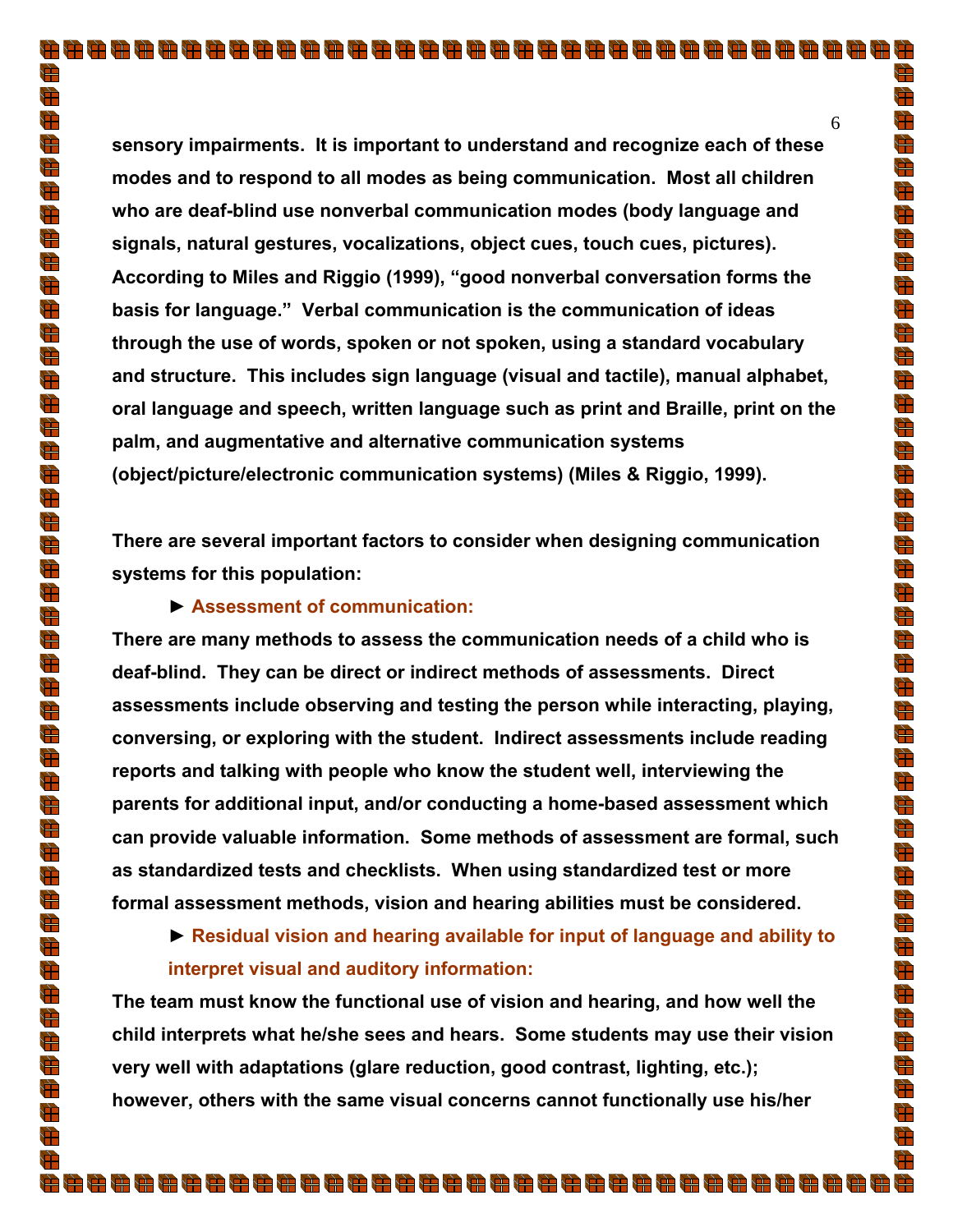**sensory impairments. It is important to understand and recognize each of these modes and to respond to all modes as being communication. Most all children who are deaf-blind use nonverbal communication modes (body language and signals, natural gestures, vocalizations, object cues, touch cues, pictures). According to Miles and Riggio (1999), "good nonverbal conversation forms the basis for language." Verbal communication is the communication of ideas through the use of words, spoken or not spoken, using a standard vocabulary and structure. This includes sign language (visual and tactile), manual alphabet, oral language and speech, written language such as print and Braille, print on the palm, and augmentative and alternative communication systems (object/picture/electronic communication systems) (Miles & Riggio, 1999).** 

**There are several important factors to consider when designing communication systems for this population:** 

#### **► Assessment of communication:**

**There are many methods to assess the communication needs of a child who is deaf-blind. They can be direct or indirect methods of assessments. Direct assessments include observing and testing the person while interacting, playing, conversing, or exploring with the student. Indirect assessments include reading reports and talking with people who know the student well, interviewing the parents for additional input, and/or conducting a home-based assessment which can provide valuable information. Some methods of assessment are formal, such as standardized tests and checklists. When using standardized test or more formal assessment methods, vision and hearing abilities must be considered.** 

**► Residual vision and hearing available for input of language and ability to interpret visual and auditory information:** 

**The team must know the functional use of vision and hearing, and how well the child interprets what he/she sees and hears. Some students may use their vision very well with adaptations (glare reduction, good contrast, lighting, etc.); however, others with the same visual concerns cannot functionally use his/her** 

۲Ŧ

 $\sum_{i=1}^{n}$ 

 $\sum_{i=1}^{n}$ 

 $\bigoplus$ 

g<br>H

 $\sum_{i=1}^{n}$ 

 $\bigoplus$ 

g<br>Al

 $\bigoplus$  $\frac{1}{\sqrt{2}}$ 

 $\frac{1}{\sqrt{2}}$ 

 $\frac{d\mathbf{r}}{d\mathbf{r}}$ 

 $\overline{\mathbb{H}}$ 

 $\frac{d\mathbf{F}}{d\mathbf{F}}$ 

 $\bigoplus$  $\bigoplus$ 

 $\frac{d\mathbf{r}}{d\mathbf{r}}$ 

 $\frac{d}{dt}$ 

 $\frac{1}{\sqrt{2}}$ 

 $\frac{1}{\sqrt{2}}$ 

 $\frac{1}{\sqrt{2}}$ 

 $\frac{d\mathbf{r}}{d\mathbf{r}}$ 

 $\frac{1}{\sqrt{2}}$ 

d.<br>H

 $\frac{d\mathbf{r}}{d\mathbf{r}}$ 

 $\bigoplus$ 

 $\frac{1}{\sqrt{2}}$  $\frac{1}{\sqrt{2}}$ 

 $\frac{d\mathbf{r}}{d\mathbf{r}}$ 

 $\bigoplus$ 

 $\sum_{i=1}^{n}$ 

 $\bigoplus$ 

 $\frac{d\mathbf{r}}{d\mathbf{r}}$  $\frac{d\mathbf{r}}{d\mathbf{r}}$ 

 $\frac{1}{\sqrt{2}}$ 

 $\bigoplus$ 

 $\frac{4}{\sqrt{2}}$ 

 $\frac{d\mathbf{r}}{d\mathbf{r}}$ 

 $\frac{1}{\sqrt{2}}$ 

 $\bigoplus$ 

 $\frac{1}{\sqrt{2}}$  $\frac{1}{\sqrt{2}}$ 

 $\Rightarrow$ 

 $\frac{1}{\sqrt{2}}$ 

 $\bigoplus$ 

 $\frac{1}{\sqrt{2}}$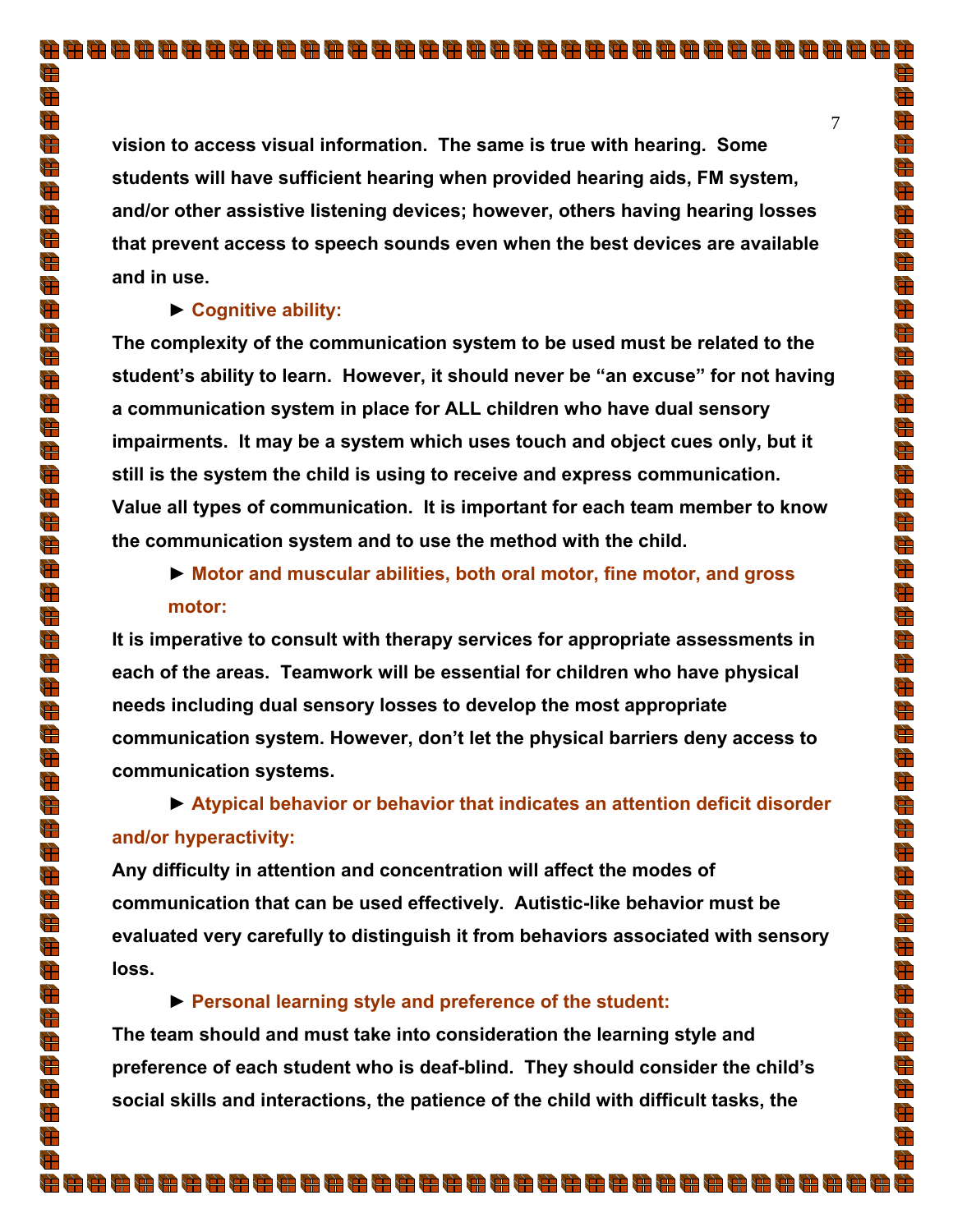**vision to access visual information. The same is true with hearing. Some students will have sufficient hearing when provided hearing aids, FM system, and/or other assistive listening devices; however, others having hearing losses that prevent access to speech sounds even when the best devices are available and in use.** 

## **► Cognitive ability:**

**The complexity of the communication system to be used must be related to the student's ability to learn. However, it should never be "an excuse" for not having a communication system in place for ALL children who have dual sensory impairments. It may be a system which uses touch and object cues only, but it still is the system the child is using to receive and express communication. Value all types of communication. It is important for each team member to know the communication system and to use the method with the child.** 

# **► Motor and muscular abilities, both oral motor, fine motor, and gross motor:**

**It is imperative to consult with therapy services for appropriate assessments in each of the areas. Teamwork will be essential for children who have physical needs including dual sensory losses to develop the most appropriate communication system. However, don't let the physical barriers deny access to communication systems.** 

# **► Atypical behavior or behavior that indicates an attention deficit disorder and/or hyperactivity:**

**Any difficulty in attention and concentration will affect the modes of communication that can be used effectively. Autistic-like behavior must be evaluated very carefully to distinguish it from behaviors associated with sensory loss.** 

## **► Personal learning style and preference of the student:**

**The team should and must take into consideration the learning style and preference of each student who is deaf-blind. They should consider the child's social skills and interactions, the patience of the child with difficult tasks, the** 

888888888888888888888888888888888888

È

 $\sum_{i=1}^{n}$ 

 $\sum_{i=1}^{n}$ 

 $\frac{1}{\sqrt{2}}$ 

 $\bigoplus$ 

 $\sum_{i=1}^n$ 

 $\overleftrightarrow{ }$ 

 $\bigoplus$  $\bigoplus$ 

 $\frac{d}{dt}$ 

 $\bigoplus$ 

 $\bigoplus$ 

 $\Rightarrow$ 

 $\frac{1}{\sqrt{2}}$ 

 $\sum_{i=1}^{n}$  $\bigoplus$ 

 $\overrightarrow{1}$ 

 $\frac{d\mathbf{r}}{d\mathbf{r}}$  $\frac{1}{\sqrt{2}}$ 

d<br>H

 $\frac{1}{\sqrt{2}}$ 

 $\frac{d\mathbf{r}}{d\mathbf{r}}$ 

 $\frac{1}{\sqrt{2}}$ 

 $\sum_{i=1}^{n}$ 

 $\frac{d\mathbf{r}}{d\mathbf{r}}$ 

 $\bigoplus$ 

 $\frac{1}{\sqrt{2}}$ 

 $\frac{1}{\sqrt{2}}$ 

 $\frac{4}{\sqrt{2}}$  $\bigoplus$ 

 $\frac{1}{\sqrt{2}}$ 

 $\bigoplus$  $\frac{d\mathbf{r}}{d\mathbf{r}}$ 

 $\overline{\overline{\overline{u}}}$ 

 $\frac{1}{\sqrt{2}}$ 

 $\frac{1}{\sqrt{2}}$  $\bigoplus$ 

 $\frac{d\mathbf{r}}{d\mathbf{r}}$ 

 $\frac{d\mathbf{r}}{d\mathbf{r}}$ 

 $\bigoplus$ 

 $\frac{d\mathbf{r}}{d\mathbf{r}}$ 

 $\Rightarrow$ 

 $\Rightarrow$  $\frac{1}{\sqrt{2}}$ 

 $\bigoplus$ 

 $\frac{1}{\sqrt{2}}$ Đ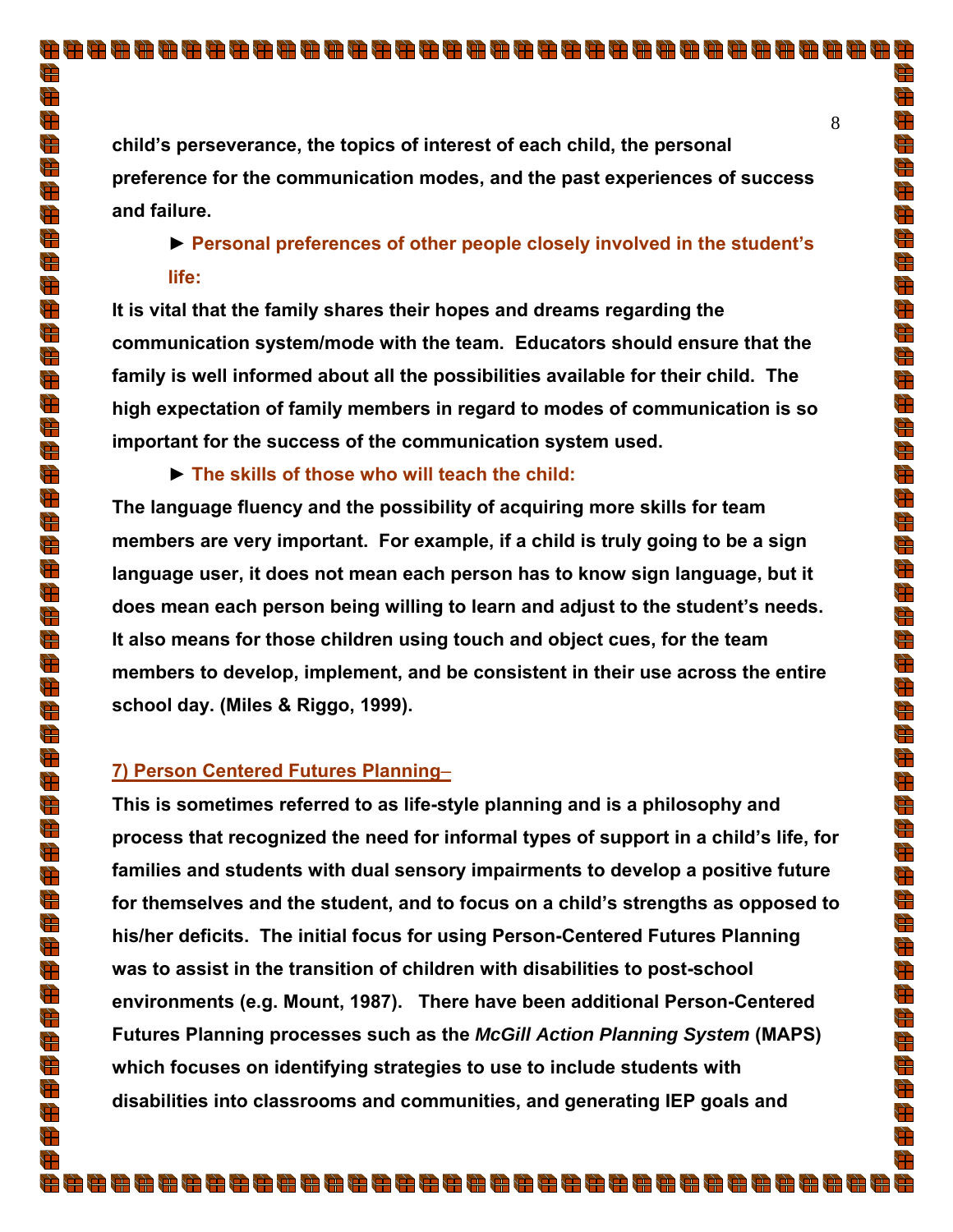$\bigoplus$ 

 $\frac{d}{dt}$ 

 $\bigoplus$ 

 $\bigoplus$ 

a an

A)

**child's perseverance, the topics of interest of each child, the personal preference for the communication modes, and the past experiences of success and failure.** 

# **► Personal preferences of other people closely involved in the student's life:**

**It is vital that the family shares their hopes and dreams regarding the communication system/mode with the team. Educators should ensure that the family is well informed about all the possibilities available for their child. The high expectation of family members in regard to modes of communication is so important for the success of the communication system used.** 

**► The skills of those who will teach the child:** 

**The language fluency and the possibility of acquiring more skills for team members are very important. For example, if a child is truly going to be a sign language user, it does not mean each person has to know sign language, but it does mean each person being willing to learn and adjust to the student's needs. It also means for those children using touch and object cues, for the team members to develop, implement, and be consistent in their use across the entire school day. (Miles & Riggo, 1999).** 

## **7) Person Centered Futures Planning**–

**This is sometimes referred to as life-style planning and is a philosophy and process that recognized the need for informal types of support in a child's life, for families and students with dual sensory impairments to develop a positive future for themselves and the student, and to focus on a child's strengths as opposed to his/her deficits. The initial focus for using Person-Centered Futures Planning was to assist in the transition of children with disabilities to post-school environments (e.g. Mount, 1987). There have been additional Person-Centered Futures Planning processes such as the** *McGill Action Planning System* **(MAPS) which focuses on identifying strategies to use to include students with disabilities into classrooms and communities, and generating IEP goals and**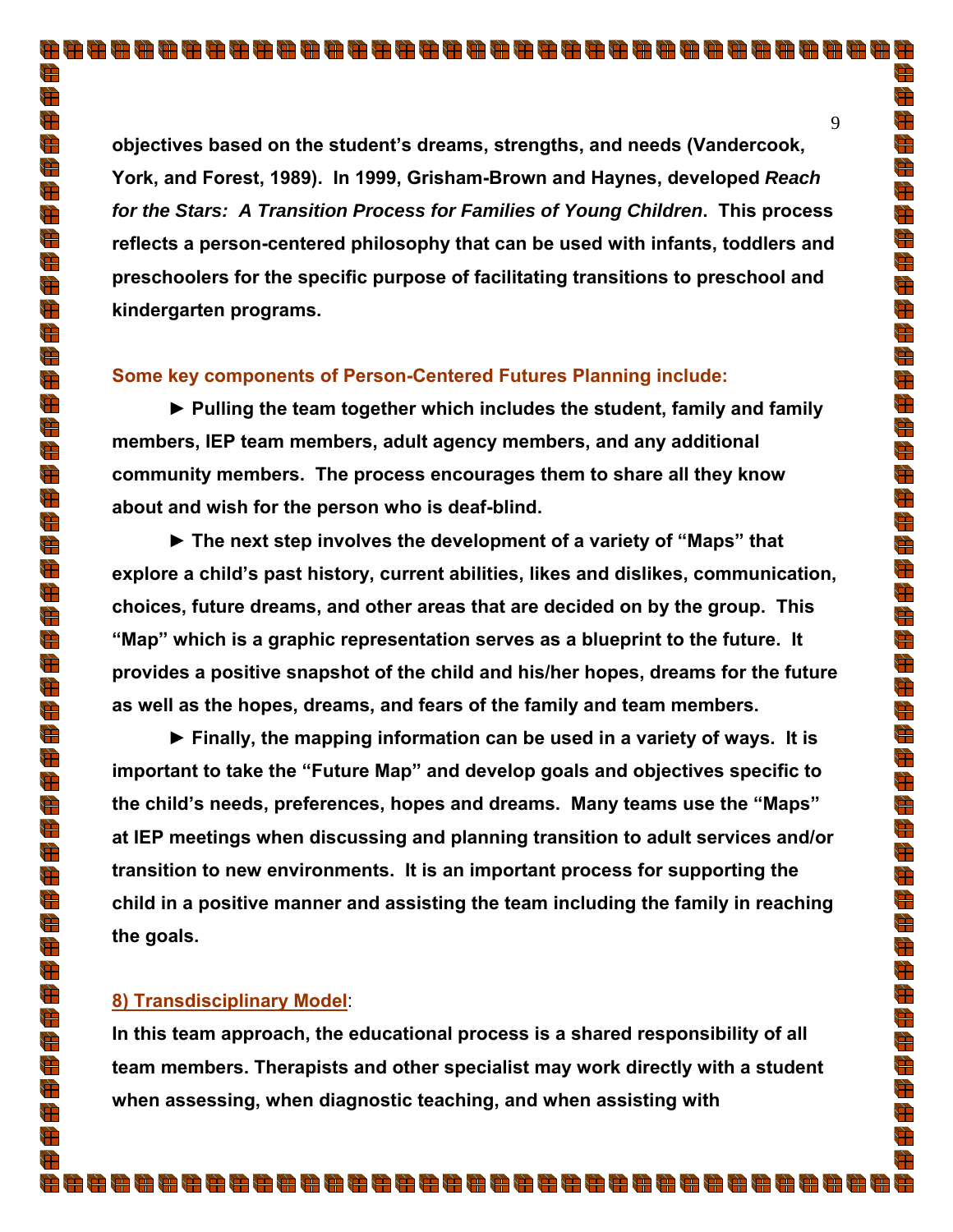**objectives based on the student's dreams, strengths, and needs (Vandercook, York, and Forest, 1989). In 1999, Grisham-Brown and Haynes, developed** *Reach for the Stars: A Transition Process for Families of Young Children***. This process reflects a person-centered philosophy that can be used with infants, toddlers and preschoolers for the specific purpose of facilitating transitions to preschool and kindergarten programs.** 

#### **Some key components of Person-Centered Futures Planning include:**

**► Pulling the team together which includes the student, family and family members, IEP team members, adult agency members, and any additional community members. The process encourages them to share all they know about and wish for the person who is deaf-blind.** 

**► The next step involves the development of a variety of "Maps" that explore a child's past history, current abilities, likes and dislikes, communication, choices, future dreams, and other areas that are decided on by the group. This "Map" which is a graphic representation serves as a blueprint to the future. It provides a positive snapshot of the child and his/her hopes, dreams for the future as well as the hopes, dreams, and fears of the family and team members.** 

**► Finally, the mapping information can be used in a variety of ways. It is important to take the "Future Map" and develop goals and objectives specific to the child's needs, preferences, hopes and dreams. Many teams use the "Maps" at IEP meetings when discussing and planning transition to adult services and/or transition to new environments. It is an important process for supporting the child in a positive manner and assisting the team including the family in reaching the goals.** 

#### **8) Transdisciplinary Model**:

**In this team approach, the educational process is a shared responsibility of all team members. Therapists and other specialist may work directly with a student when assessing, when diagnostic teaching, and when assisting with** 

È

 $\frac{1}{\sqrt{2}}$ 

 $\bigoplus$ 

 $\frac{d\mathbf{r}}{d\mathbf{r}}$ 

 $\bigoplus$ 

 $\frac{1}{\sqrt{2}}$ 

 $\frac{1}{\sqrt{2}}$ 

 $\frac{d\mathbf{r}}{d\mathbf{r}}$  $\frac{4}{3}$ 

 $\frac{4}{\sqrt{2}}$ 

 $\bigoplus$ 

 $\bigoplus$ 

 $\bigoplus$ 

 $\frac{4}{\sqrt{2}}$ 

 $\overline{\mathbf{r}}$  $\bigoplus$ 

 $\frac{d\mathbf{r}}{d\mathbf{r}}$ 

 $\frac{d}{dt}$  $\frac{1}{\sqrt{2}}$ 

 $\frac{1}{\sqrt{2}}$  $\frac{d\mathbf{r}}{d\mathbf{r}}$ 

 $\frac{d\mathbf{r}}{d\mathbf{r}}$ 

 $\frac{1}{\sqrt{2}}$ 

 $\bigoplus$ 

 $\frac{d\mathbf{r}}{d\mathbf{r}}$  $\overline{\overline{\overline{u}}}$ 

 $\frac{1}{\sqrt{2}}$  $\frac{1}{\sqrt{2}}$ 

 $\frac{d\mathbf{r}}{d\mathbf{r}}$ 

 $\bigoplus$ 

 $\frac{1}{\sqrt{2}}$ 

 $\bigoplus$  $\frac{d\mathbf{r}}{d\mathbf{r}}$ 

 $\frac{1}{\mathbf{E}}$ 

 $\frac{1}{\sqrt{2}}$ 

 $\bigoplus$ 

 $\bigoplus$ 

 $\frac{1}{\sqrt{2}}$ 

 $\frac{1}{\sqrt{2}}$ 

 $\bigoplus$  $\frac{d\mathbf{r}}{d\mathbf{r}}$ 

 $\bigoplus$ 

 $\bigoplus$  $\frac{1}{\sqrt{2}}$ 

 $\bigoplus$ 

 $\frac{1}{\sqrt{2}}$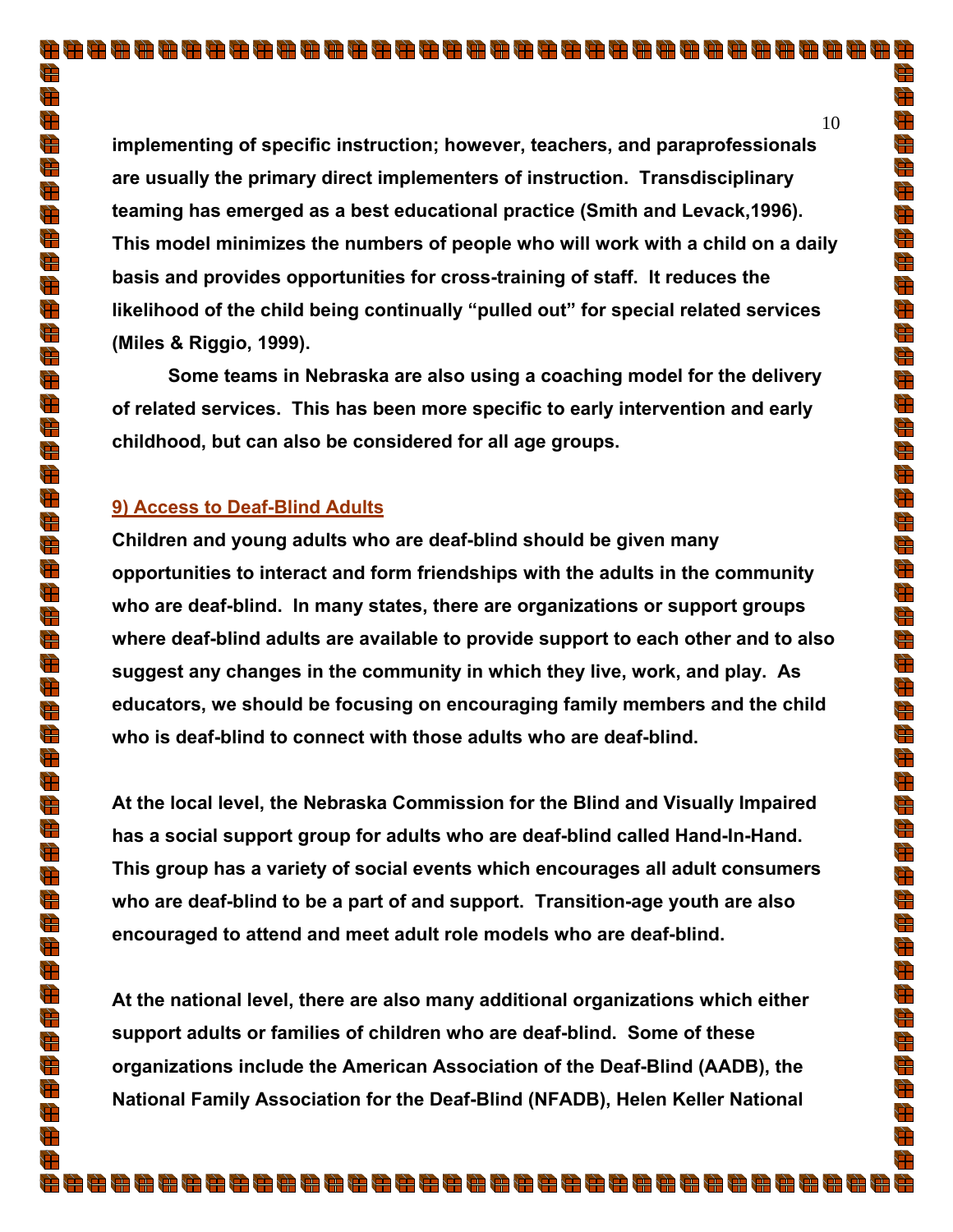**implementing of specific instruction; however, teachers, and paraprofessionals are usually the primary direct implementers of instruction. Transdisciplinary teaming has emerged as a best educational practice (Smith and Levack,1996). This model minimizes the numbers of people who will work with a child on a daily basis and provides opportunities for cross-training of staff. It reduces the likelihood of the child being continually "pulled out" for special related services (Miles & Riggio, 1999).** 

**Some teams in Nebraska are also using a coaching model for the delivery of related services. This has been more specific to early intervention and early childhood, but can also be considered for all age groups.** 

## **9) Access to Deaf-Blind Adults**

**Children and young adults who are deaf-blind should be given many opportunities to interact and form friendships with the adults in the community who are deaf-blind. In many states, there are organizations or support groups where deaf-blind adults are available to provide support to each other and to also suggest any changes in the community in which they live, work, and play. As educators, we should be focusing on encouraging family members and the child who is deaf-blind to connect with those adults who are deaf-blind.** 

**At the local level, the Nebraska Commission for the Blind and Visually Impaired has a social support group for adults who are deaf-blind called Hand-In-Hand. This group has a variety of social events which encourages all adult consumers who are deaf-blind to be a part of and support. Transition-age youth are also encouraged to attend and meet adult role models who are deaf-blind.** 

**At the national level, there are also many additional organizations which either support adults or families of children who are deaf-blind. Some of these organizations include the American Association of the Deaf-Blind (AADB), the National Family Association for the Deaf-Blind (NFADB), Helen Keller National** 

8888888888888888888888888888888888888

10

÷۳

 $\sum_{i=1}^{n}$ 

 $\sum_{i=1}^{n}$ 

 $\bigoplus$ 

g<br>H

 $\bigoplus$ 

 $\frac{1}{\sqrt{2}}$ 

 $\bigoplus$ 

 $\bigoplus$  $\frac{1}{\sqrt{2}}$ 

 $\frac{1}{\sqrt{2}}$  $\frac{4}{\sqrt{2}}$ 

 $\bigoplus$  $\frac{1}{\sqrt{2}}$ 

 $\sum_{i=1}^{n}$ 

 $\bigoplus$ 

 $\bigoplus$ 

 $\frac{d\mathbf{r}}{d\mathbf{r}}$ 

 $\overline{\mathbf{r}}$ 

 $\frac{1}{\sqrt{2}}$ 

 $\frac{1}{\sqrt{2}}$ 

 $\bigoplus$ 

 $\frac{1}{\sqrt{2}}$ 

 $\sum_{i=1}^{n}$ 

 $\frac{d\mathbf{r}}{d\mathbf{r}}$ 

 $\bigoplus$ 

 $\frac{1}{\sqrt{2}}$  $\frac{1}{\sqrt{2}}$ 

 $\frac{4}{\sqrt{2}}$ 

 $\bigoplus$ 

 $\sum_{i=1}^{n}$ 

 $\frac{1}{\sqrt{2}}$ 

 $\frac{d\mathbf{r}}{d\mathbf{r}}$  $\frac{d}{dt}$ 

 $\frac{1}{\sqrt{2}}$ 

 $\frac{1}{\sqrt{2}}$ 

 $\bigoplus$ 

 $\overline{\mathbb{H}}$ 

 $\frac{1}{\sqrt{2}}$ 

 $\overline{\mathbb{R}}$ 

 $\frac{1}{\sqrt{2}}$ 

 $\sum_{i=1}^{n}$ 

 $\bigoplus$  $\frac{1}{\sqrt{2}}$ 

 $\frac{1}{\sqrt{2}}$ 

 $\frac{1}{\sqrt{2}}$ 

Ħ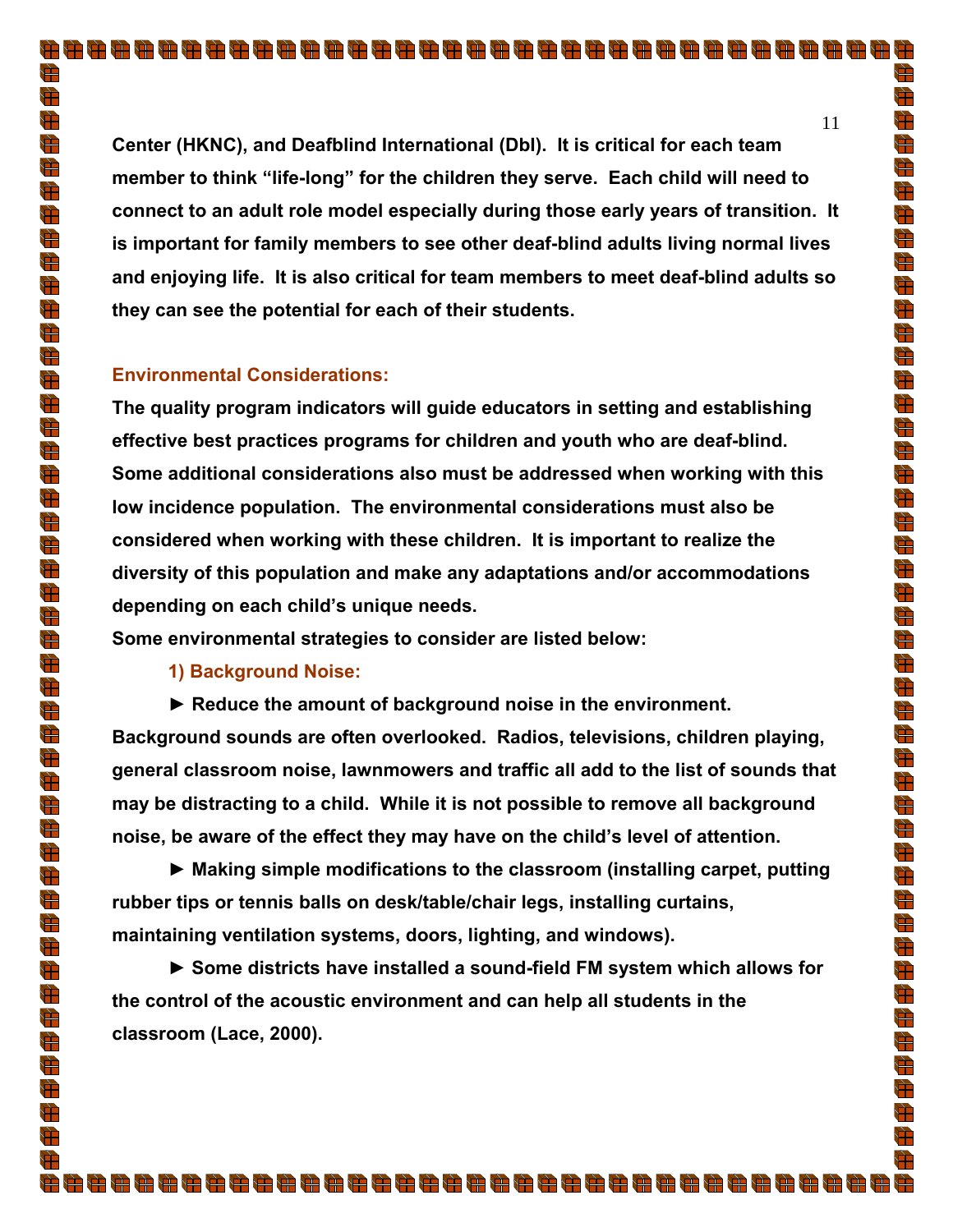**Center (HKNC), and Deafblind International (DbI). It is critical for each team member to think "life-long" for the children they serve. Each child will need to connect to an adult role model especially during those early years of transition. It is important for family members to see other deaf-blind adults living normal lives and enjoying life. It is also critical for team members to meet deaf-blind adults so they can see the potential for each of their students.**

#### **Environmental Considerations:**

**The quality program indicators will guide educators in setting and establishing effective best practices programs for children and youth who are deaf-blind. Some additional considerations also must be addressed when working with this low incidence population. The environmental considerations must also be considered when working with these children. It is important to realize the diversity of this population and make any adaptations and/or accommodations depending on each child's unique needs.** 

**Some environmental strategies to consider are listed below:** 

**1) Background Noise:** 

**► Reduce the amount of background noise in the environment.** 

**Background sounds are often overlooked. Radios, televisions, children playing, general classroom noise, lawnmowers and traffic all add to the list of sounds that may be distracting to a child. While it is not possible to remove all background noise, be aware of the effect they may have on the child's level of attention.** 

**► Making simple modifications to the classroom (installing carpet, putting rubber tips or tennis balls on desk/table/chair legs, installing curtains, maintaining ventilation systems, doors, lighting, and windows).** 

**► Some districts have installed a sound-field FM system which allows for the control of the acoustic environment and can help all students in the classroom (Lace, 2000).** 

11

È

 $\frac{1}{\sqrt{2}}$ 

 $\bigoplus$ 

 $\frac{4}{\sqrt{2}}$ 

 $\bigoplus$ 

 $\Rightarrow$ 

 $\frac{1}{\sqrt{2}}$ 

 $\frac{d\mathbf{r}}{d\mathbf{r}}$ 

 $\bigoplus$  $\frac{1}{\sqrt{2}}$ 

 $\bigoplus$ 

 $\bigoplus$ 

 $\frac{1}{\sqrt{2}}$ 

 $\frac{1}{\sqrt{2}}$ 

 $\sum_{i=1}^{n}$ 

 $\bigoplus$ 

 $\frac{1}{\sqrt{2}}$ 

 $\frac{d\mathbf{r}}{d\mathbf{r}}$  $\frac{1}{\sqrt{2}}$ 

 $\frac{1}{\sqrt{2}}$ 

 $\frac{1}{\sqrt{2}}$  $\frac{1}{\sqrt{2}}$ 

 $\frac{1}{\sqrt{2}}$  $\bigoplus$ 

 $\frac{d\mathbf{r}}{d\mathbf{r}}$ 

 $\frac{1}{\sqrt{2}}$  $\frac{1}{\sqrt{2}}$ 

 $\frac{d\mathbf{r}}{d\mathbf{r}}$ 

 $\bigoplus$ 

 $\sum_{i=1}^{n}$ 

 $\bigoplus$  $\frac{d\mathbf{r}}{d\mathbf{r}}$ 

 $\overline{\overline{\overline{u}}}$ 

 $\frac{1}{\sqrt{2}}$ 

 $\frac{1}{\sqrt{2}}$  $\bigoplus$ 

 $\Rightarrow$ 

 $\frac{1}{\sqrt{2}}$ 

 $\overline{\mathbb{R}}$ 

 $\frac{d\mathbf{r}}{d\mathbf{r}}$  $\Rightarrow$ 

 $\bigoplus$ 

 $\frac{1}{\sqrt{2}}$ 

 $\sum_{i=1}^{n}$  $\sum_{i=1}^{n}$ 

Đ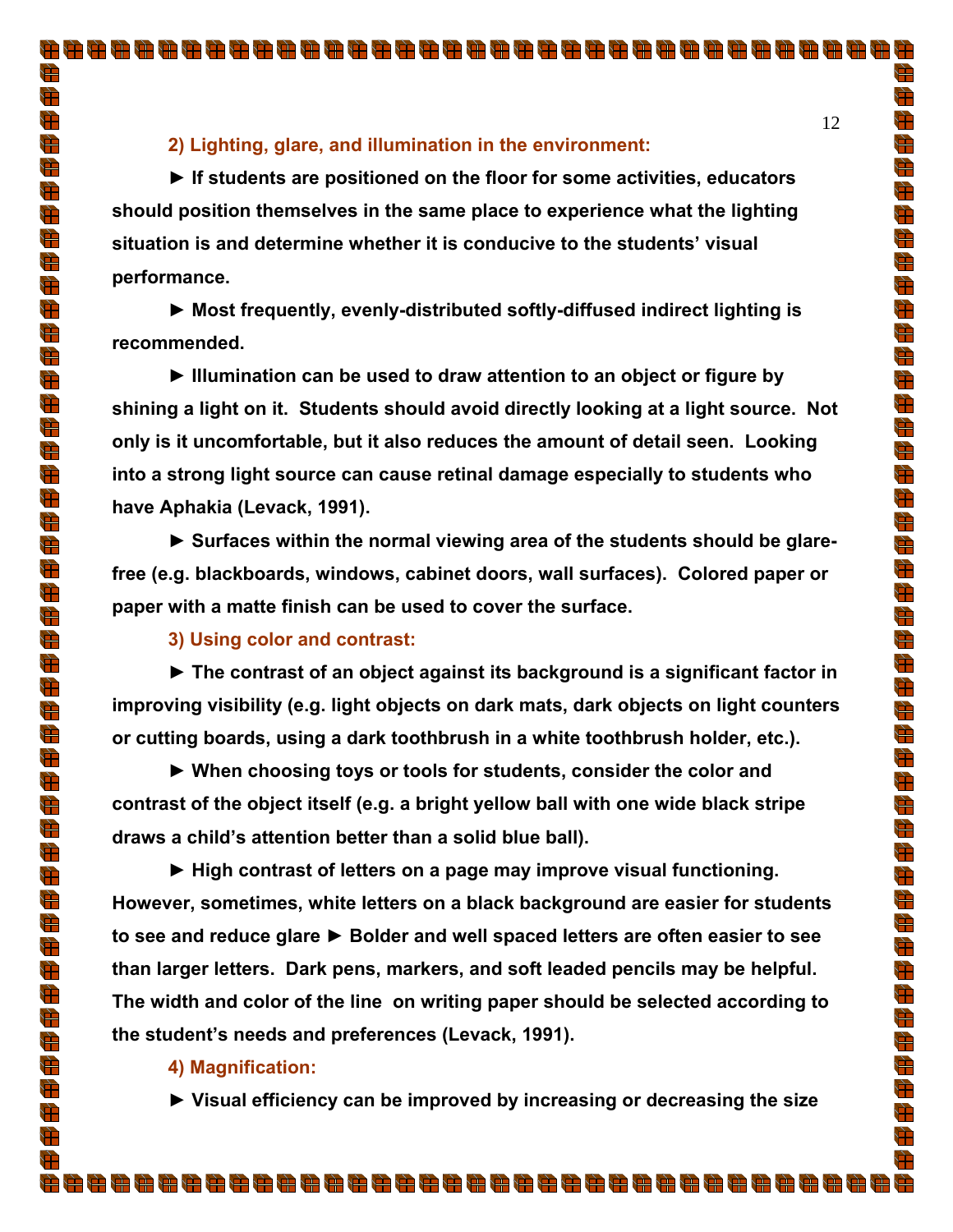## **2) Lighting, glare, and illumination in the environment:**

**► If students are positioned on the floor for some activities, educators should position themselves in the same place to experience what the lighting situation is and determine whether it is conducive to the students' visual performance.** 

**► Most frequently, evenly-distributed softly-diffused indirect lighting is recommended.** 

**► Illumination can be used to draw attention to an object or figure by shining a light on it. Students should avoid directly looking at a light source. Not only is it uncomfortable, but it also reduces the amount of detail seen. Looking into a strong light source can cause retinal damage especially to students who have Aphakia (Levack, 1991).** 

▶ Surfaces within the normal viewing area of the students should be glare**free (e.g. blackboards, windows, cabinet doors, wall surfaces). Colored paper or paper with a matte finish can be used to cover the surface.**

**3) Using color and contrast:** 

**► The contrast of an object against its background is a significant factor in improving visibility (e.g. light objects on dark mats, dark objects on light counters or cutting boards, using a dark toothbrush in a white toothbrush holder, etc.).** 

**► When choosing toys or tools for students, consider the color and contrast of the object itself (e.g. a bright yellow ball with one wide black stripe draws a child's attention better than a solid blue ball).** 

**► High contrast of letters on a page may improve visual functioning. However, sometimes, white letters on a black background are easier for students to see and reduce glare ► Bolder and well spaced letters are often easier to see than larger letters. Dark pens, markers, and soft leaded pencils may be helpful. The width and color of the line on writing paper should be selected according to the student's needs and preferences (Levack, 1991).** 

## **4) Magnification:**

**► Visual efficiency can be improved by increasing or decreasing the size**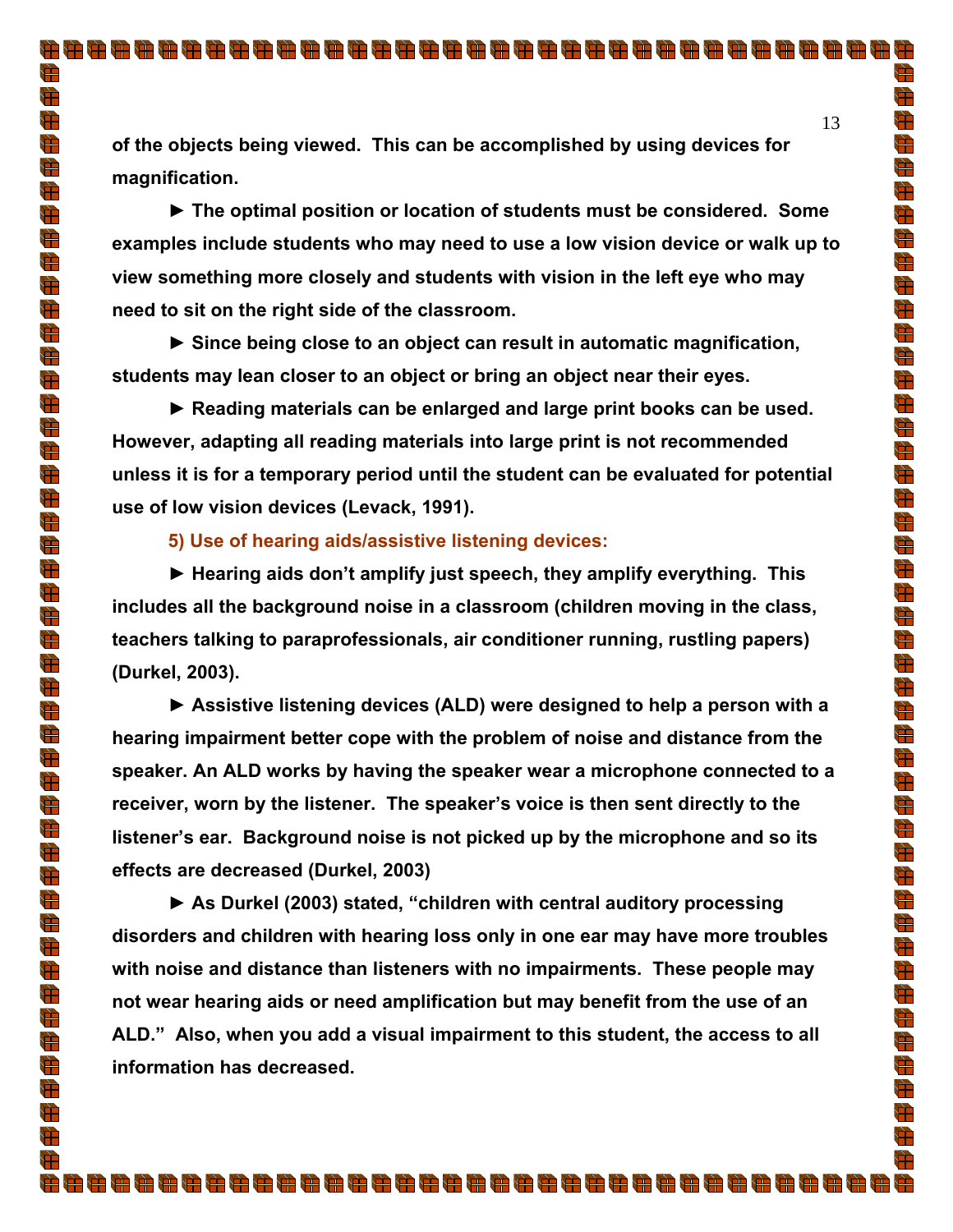**of the objects being viewed. This can be accomplished by using devices for magnification.** 

**► The optimal position or location of students must be considered. Some examples include students who may need to use a low vision device or walk up to view something more closely and students with vision in the left eye who may need to sit on the right side of the classroom.** 

**► Since being close to an object can result in automatic magnification, students may lean closer to an object or bring an object near their eyes.** 

**► Reading materials can be enlarged and large print books can be used. However, adapting all reading materials into large print is not recommended unless it is for a temporary period until the student can be evaluated for potential use of low vision devices (Levack, 1991).** 

## **5) Use of hearing aids/assistive listening devices:**

**► Hearing aids don't amplify just speech, they amplify everything. This includes all the background noise in a classroom (children moving in the class, teachers talking to paraprofessionals, air conditioner running, rustling papers) (Durkel, 2003).** 

**► Assistive listening devices (ALD) were designed to help a person with a hearing impairment better cope with the problem of noise and distance from the speaker. An ALD works by having the speaker wear a microphone connected to a receiver, worn by the listener. The speaker's voice is then sent directly to the listener's ear. Background noise is not picked up by the microphone and so its effects are decreased (Durkel, 2003)** 

**► As Durkel (2003) stated, "children with central auditory processing disorders and children with hearing loss only in one ear may have more troubles with noise and distance than listeners with no impairments. These people may not wear hearing aids or need amplification but may benefit from the use of an ALD." Also, when you add a visual impairment to this student, the access to all information has decreased.** 

88888888888888888888888888888888888

È

 $\frac{1}{\sqrt{2}}$ 

 $\bigoplus$ 

 $\frac{d\mathbf{r}}{d\mathbf{r}}$ 

 $\bigoplus$ 

 $\Rightarrow$ 

 $\frac{1}{\sqrt{2}}$ 

 $\frac{d\mathbf{r}}{d\mathbf{r}}$  $\bigoplus$ 

 $\frac{1}{\sqrt{2}}$ 

 $\bigoplus$ 

 $\bigoplus$ 

 $\frac{d\mathbf{r}}{d\mathbf{r}}$ 

 $\frac{1}{\sqrt{2}}$ 

 $\frac{1}{\sqrt{2}}$  $\bigoplus$ 

 $\frac{d\mathbf{r}}{d\mathbf{r}}$ 

 $\frac{d}{dt}$  $\frac{1}{\sqrt{2}}$ 

d<br>H

 $\frac{1}{\sqrt{2}}$ 

 $\frac{d\mathbf{r}}{d\mathbf{r}}$ 

 $\frac{1}{\sqrt{2}}$ 

d.<br>H

 $\frac{d\mathbf{r}}{d\mathbf{r}}$  $\frac{1}{\sqrt{2}}$ 

 $\frac{1}{\sqrt{2}}$  $\bigoplus$ 

 $\frac{d\mathbf{r}}{d\mathbf{r}}$  $\bigoplus$ 

 $\frac{1}{\sqrt{2}}$ 

 $\bigoplus$  $\frac{d\mathbf{r}}{d\mathbf{r}}$ 

 $\overline{\overline{\overline{u}}}$ 

 $\frac{1}{\sqrt{2}}$ 

 $\bigoplus$ 

 $\bigoplus$ 

 $\Rightarrow$ 

 $\frac{1}{\sqrt{2}}$ 

 $\bigoplus$ 

 $\frac{d\mathbf{r}}{d\mathbf{r}}$  $\frac{1}{\sqrt{2}}$ 

 $\bigoplus$ 

 $\frac{1}{\sqrt{2}}$  $\bigoplus$ 

 $\frac{1}{\sqrt{2}}$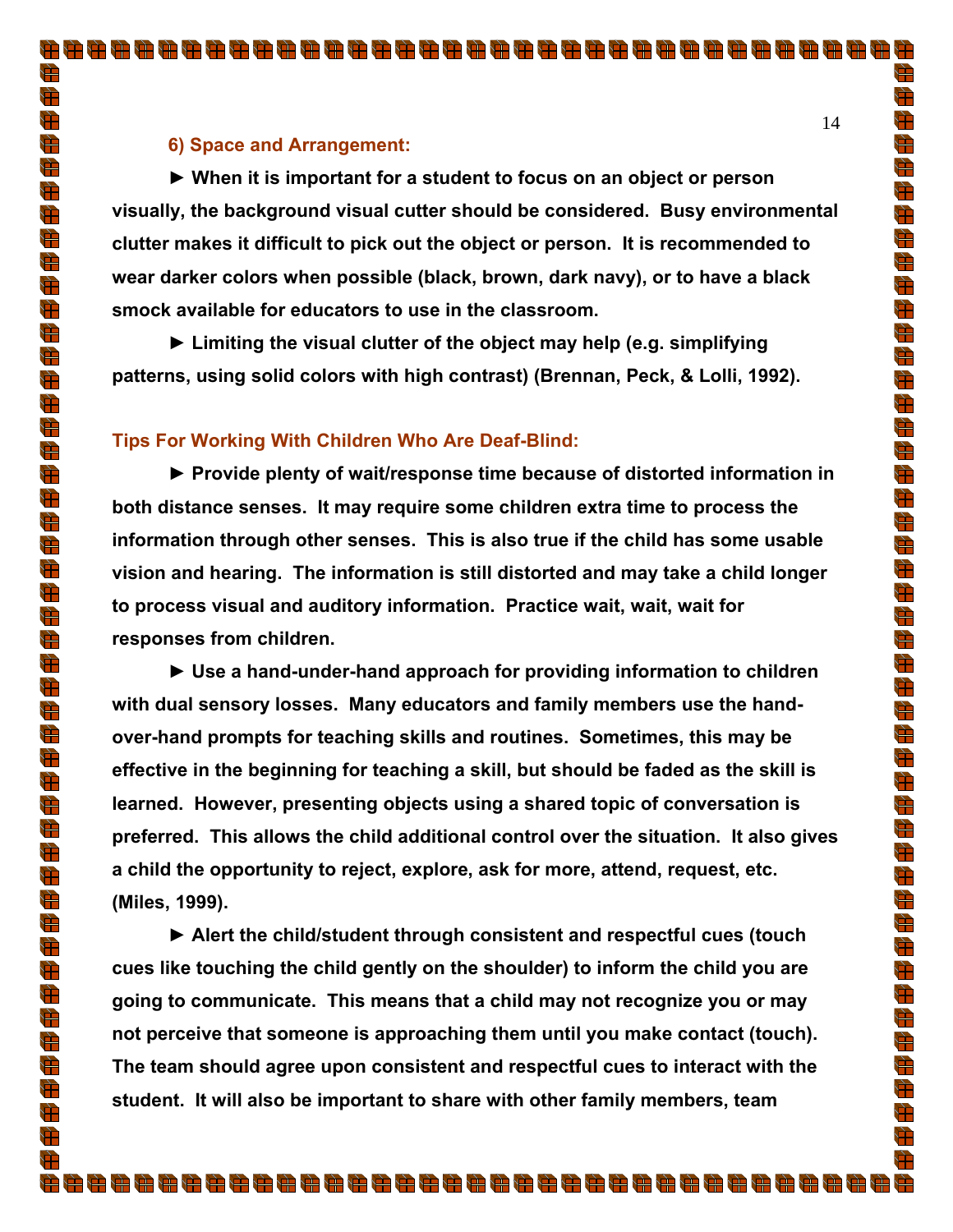## **6) Space and Arrangement:**

**► When it is important for a student to focus on an object or person visually, the background visual cutter should be considered. Busy environmental clutter makes it difficult to pick out the object or person. It is recommended to wear darker colors when possible (black, brown, dark navy), or to have a black smock available for educators to use in the classroom.** 

**► Limiting the visual clutter of the object may help (e.g. simplifying patterns, using solid colors with high contrast) (Brennan, Peck, & Lolli, 1992).** 

#### **Tips For Working With Children Who Are Deaf-Blind:**

**► Provide plenty of wait/response time because of distorted information in both distance senses. It may require some children extra time to process the information through other senses. This is also true if the child has some usable vision and hearing. The information is still distorted and may take a child longer to process visual and auditory information. Practice wait, wait, wait for responses from children.** 

**► Use a hand-under-hand approach for providing information to children with dual sensory losses. Many educators and family members use the handover-hand prompts for teaching skills and routines. Sometimes, this may be effective in the beginning for teaching a skill, but should be faded as the skill is learned. However, presenting objects using a shared topic of conversation is preferred. This allows the child additional control over the situation. It also gives a child the opportunity to reject, explore, ask for more, attend, request, etc. (Miles, 1999).** 

**► Alert the child/student through consistent and respectful cues (touch cues like touching the child gently on the shoulder) to inform the child you are going to communicate. This means that a child may not recognize you or may not perceive that someone is approaching them until you make contact (touch). The team should agree upon consistent and respectful cues to interact with the student. It will also be important to share with other family members, team** 

È

 $\frac{1}{\sqrt{2}}$ 

 $\frac{1}{\sqrt{2}}$ 

 $\frac{4}{\sqrt{2}}$ 

 $\bigoplus$ 

 $\Rightarrow$ 

 $\frac{1}{\sqrt{2}}$ 

 $\frac{d\mathbf{r}}{d\mathbf{r}}$  $\bigoplus$ 

 $\frac{d\mathbf{r}}{d\mathbf{r}}$ 

 $\frac{1}{\sqrt{2}}$  $\bigoplus$ 

 $\Rightarrow$ 

 $\frac{d\mathbf{F}}{d\mathbf{F}}$ 

 $\sum_{i=1}^{n}$  $\bigoplus$ 

 $\frac{d\mathbf{r}}{d\mathbf{r}}$ 

 $\frac{d}{dt}$  $\frac{1}{\sqrt{2}}$ 

d<br>H

 $\frac{d\mathbf{r}}{d\mathbf{r}}$ 

 $\frac{d\mathbf{r}}{d\mathbf{r}}$ 

 $\frac{1}{\sqrt{2}}$ d.<br>H

 $\frac{d\mathbf{r}}{d\mathbf{r}}$ 

 $\frac{1}{\sqrt{2}}$ 

 $\frac{1}{\sqrt{2}}$ 

 $\frac{1}{\sqrt{2}}$ 

 $\frac{d\mathbf{r}}{d\mathbf{r}}$  $\bigoplus$ 

 $\sum_{i=1}^{n}$ 

 $\bigoplus$  $\frac{d\mathbf{r}}{d\mathbf{r}}$ 

 $\frac{1}{\mathbb{F}}$ 

 $\frac{1}{\sqrt{2}}$ 

 $\Rightarrow$ 

 $\bigoplus$ 

 $\Rightarrow$ 

 $\frac{1}{\sqrt{2}}$ 

 $\overline{\mathbb{R}}$ 

 $\frac{1}{\sqrt{2}}$ 

 $\bigoplus$ 

 $\bigoplus$  $\frac{1}{\sqrt{2}}$ 

 $\bigoplus$ 

 $\overline{\mathbb{P}}$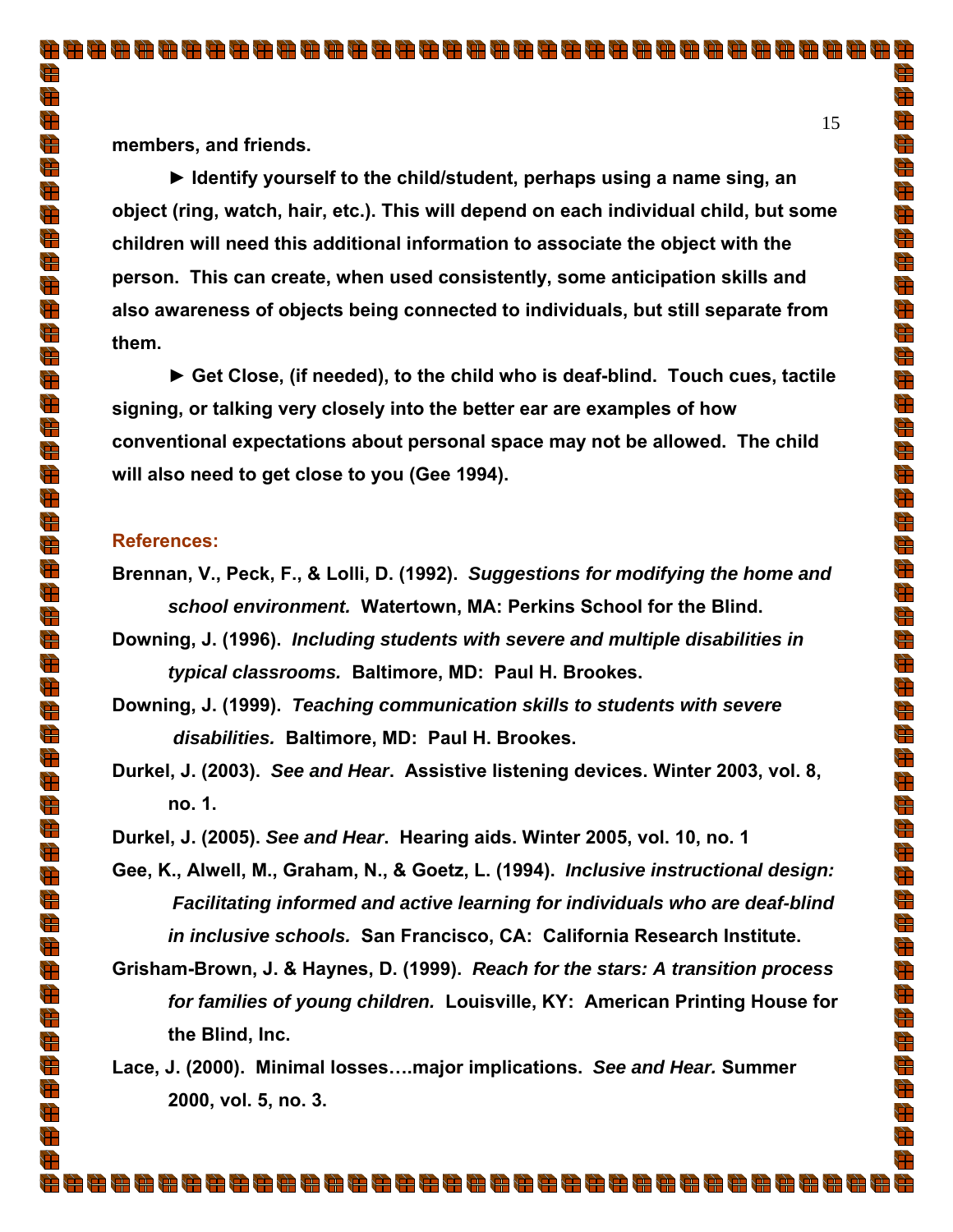**members, and friends.** 

**► Identify yourself to the child/student, perhaps using a name sing, an object (ring, watch, hair, etc.). This will depend on each individual child, but some children will need this additional information to associate the object with the person. This can create, when used consistently, some anticipation skills and also awareness of objects being connected to individuals, but still separate from them.** 

**► Get Close, (if needed), to the child who is deaf-blind. Touch cues, tactile signing, or talking very closely into the better ear are examples of how conventional expectations about personal space may not be allowed. The child will also need to get close to you (Gee 1994).**

#### **References:**

- **Brennan, V., Peck, F., & Lolli, D. (1992).** *Suggestions for modifying the home and school environment.* **Watertown, MA: Perkins School for the Blind.**
- **Downing, J. (1996).** *Including students with severe and multiple disabilities in typical classrooms.* **Baltimore, MD: Paul H. Brookes.**
- **Downing, J. (1999).** *Teaching communication skills to students with severe disabilities.* **Baltimore, MD: Paul H. Brookes.**
- **Durkel, J. (2003).** *See and Hear***. Assistive listening devices. Winter 2003, vol. 8, no. 1.**

**Durkel, J. (2005).** *See and Hear***. Hearing aids. Winter 2005, vol. 10, no. 1** 

**Gee, K., Alwell, M., Graham, N., & Goetz, L. (1994).** *Inclusive instructional design: Facilitating informed and active learning for individuals who are deaf-blind in inclusive schools.* **San Francisco, CA: California Research Institute.** 

**Grisham-Brown, J. & Haynes, D. (1999).** *Reach for the stars: A transition process for families of young children.* **Louisville, KY: American Printing House for the Blind, Inc.** 

**Lace, J. (2000). Minimal losses….major implications.** *See and Hear.* **Summer 2000, vol. 5, no. 3.** 

È

 $\frac{1}{\sqrt{2}}$ 

 $\bigoplus$ 

 $\frac{4}{\sqrt{2}}$ 

 $\bigoplus$ 

 $\Rightarrow$ 

 $\frac{1}{\sqrt{2}}$ 

 $\frac{d\mathbf{r}}{d\mathbf{r}}$  $\bigoplus$ 

 $\frac{d\mathbf{r}}{d\mathbf{r}}$ 

 $\bigoplus$  $\bigoplus$ 

 $\frac{d\mathbf{r}}{d\mathbf{r}}$ 

 $\frac{1}{\sqrt{2}}$  $\frac{1}{\sqrt{2}}$ 

 $\frac{d}{dt}$ 

 $\frac{d\mathbf{r}}{d\mathbf{r}}$ 

 $\overline{\mathbf{r}}$ 

 $\frac{d\mathbf{r}}{d\mathbf{r}}$ 

 $\frac{d\mathbf{r}}{d\mathbf{r}}$ 

 $\bigoplus$ 

 $\frac{1}{\sqrt{2}}$ 

d.<br>H

 $\frac{d\mathbf{r}}{d\mathbf{r}}$  $\frac{1}{\sqrt{2}}$ 

 $\frac{d\mathbf{r}}{d\mathbf{r}}$  $\bigoplus$ 

 $\frac{d\mathbf{r}}{d\mathbf{r}}$ 

 $\frac{d}{d}$ 

 $\frac{1}{\sqrt{2}}$ 

 $\bigoplus$  $\frac{d\mathbf{r}}{d\mathbf{r}}$ 

 $\overline{\overline{\overline{u}}}$ 

 $\frac{1}{\sqrt{2}}$ 

 $\bigoplus$ 

 $\bigoplus$ 

 $\frac{1}{\sqrt{2}}$ 

 $\frac{1}{\sqrt{2}}$ 

 $\bigoplus$  $\frac{d\mathbf{r}}{d\mathbf{r}}$ 

 $\frac{1}{\sqrt{2}}$ 

 $\bigoplus$  $\frac{1}{\sqrt{2}}$ 

 $\bigoplus$ 

 $\overline{\mathbb{P}}$ 

Ħ.